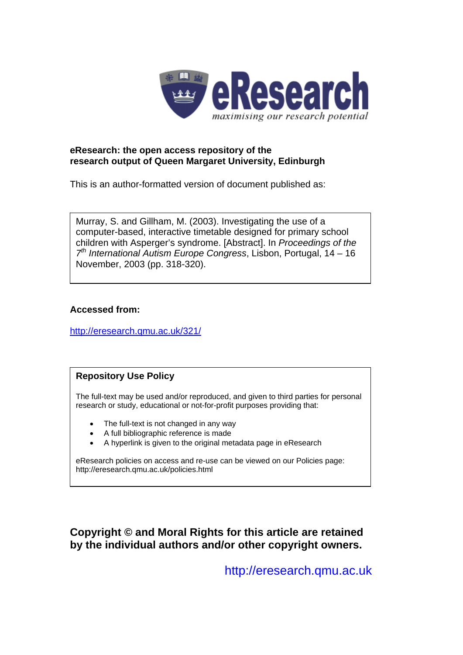

# **eResearch: the open access repository of the research output of Queen Margaret University, Edinburgh**

This is an author-formatted version of document published as:

Murray, S. and Gillham, M. (2003). Investigating the use of a computer-based, interactive timetable designed for primary school children with Asperger's syndrome. [Abstract]. In *Proceedings of the 7th International Autism Europe Congress*, Lisbon, Portugal, 14 – 16 November, 2003 (pp. 318-320).

# **Accessed from:**

<http://eresearch.qmu.ac.uk/321/>

# **Repository Use Policy**

The full-text may be used and/or reproduced, and given to third parties for personal research or study, educational or not-for-profit purposes providing that:

- The full-text is not changed in any way
- A full bibliographic reference is made
- A hyperlink is given to the original metadata page in eResearch

eResearch policies on access and re-use can be viewed on our Policies page: <http://eresearch.qmu.ac.uk/policies.html>

**Copyright © and Moral Rights for this article are retained by the individual authors and/or other copyright owners.** 

[http://eresearch.qmu.ac.uk](http://eresearch.qmu.ac.uk/)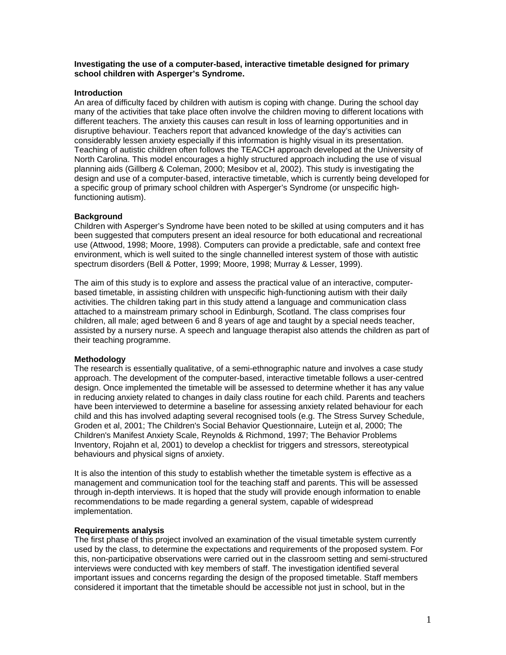**Investigating the use of a computer-based, interactive timetable designed for primary school children with Asperger's Syndrome.** 

## **Introduction**

An area of difficulty faced by children with autism is coping with change. During the school day many of the activities that take place often involve the children moving to different locations with different teachers. The anxiety this causes can result in loss of learning opportunities and in disruptive behaviour. Teachers report that advanced knowledge of the day's activities can considerably lessen anxiety especially if this information is highly visual in its presentation. Teaching of autistic children often follows the TEACCH approach developed at the University of North Carolina. This model encourages a highly structured approach including the use of visual planning aids (Gillberg & Coleman, 2000; Mesibov et al, 2002). This study is investigating the design and use of a computer-based, interactive timetable, which is currently being developed for a specific group of primary school children with Asperger's Syndrome (or unspecific highfunctioning autism).

#### **Background**

Children with Asperger's Syndrome have been noted to be skilled at using computers and it has been suggested that computers present an ideal resource for both educational and recreational use (Attwood, 1998; Moore, 1998). Computers can provide a predictable, safe and context free environment, which is well suited to the single channelled interest system of those with autistic spectrum disorders (Bell & Potter, 1999; Moore, 1998; Murray & Lesser, 1999).

The aim of this study is to explore and assess the practical value of an interactive, computerbased timetable, in assisting children with unspecific high-functioning autism with their daily activities. The children taking part in this study attend a language and communication class attached to a mainstream primary school in Edinburgh, Scotland. The class comprises four children, all male; aged between 6 and 8 years of age and taught by a special needs teacher, assisted by a nursery nurse. A speech and language therapist also attends the children as part of their teaching programme.

#### **Methodology**

The research is essentially qualitative, of a semi-ethnographic nature and involves a case study approach. The development of the computer-based, interactive timetable follows a user-centred design. Once implemented the timetable will be assessed to determine whether it has any value in reducing anxiety related to changes in daily class routine for each child. Parents and teachers have been interviewed to determine a baseline for assessing anxiety related behaviour for each child and this has involved adapting several recognised tools (e.g. The Stress Survey Schedule, Groden et al, 2001; The Children's Social Behavior Questionnaire, Luteijn et al, 2000; The Children's Manifest Anxiety Scale, Reynolds & Richmond, 1997; The Behavior Problems Inventory, Rojahn et al, 2001) to develop a checklist for triggers and stressors, stereotypical behaviours and physical signs of anxiety.

It is also the intention of this study to establish whether the timetable system is effective as a management and communication tool for the teaching staff and parents. This will be assessed through in-depth interviews. It is hoped that the study will provide enough information to enable recommendations to be made regarding a general system, capable of widespread implementation.

#### **Requirements analysis**

The first phase of this project involved an examination of the visual timetable system currently used by the class, to determine the expectations and requirements of the proposed system. For this, non-participative observations were carried out in the classroom setting and semi-structured interviews were conducted with key members of staff. The investigation identified several important issues and concerns regarding the design of the proposed timetable. Staff members considered it important that the timetable should be accessible not just in school, but in the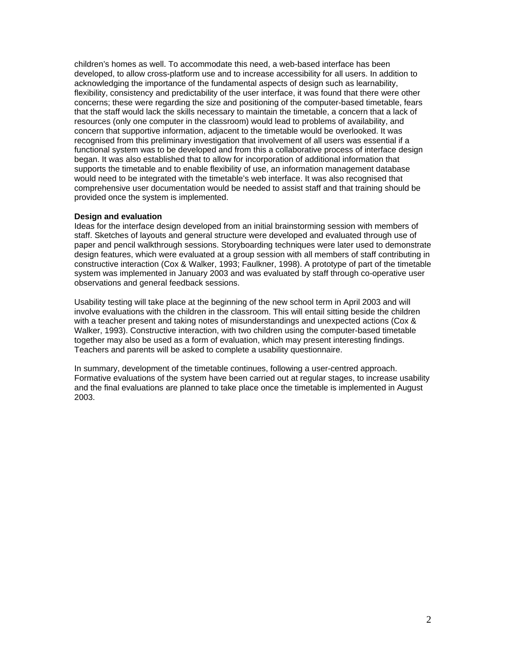children's homes as well. To accommodate this need, a web-based interface has been developed, to allow cross-platform use and to increase accessibility for all users. In addition to acknowledging the importance of the fundamental aspects of design such as learnability, flexibility, consistency and predictability of the user interface, it was found that there were other concerns; these were regarding the size and positioning of the computer-based timetable, fears that the staff would lack the skills necessary to maintain the timetable, a concern that a lack of resources (only one computer in the classroom) would lead to problems of availability, and concern that supportive information, adjacent to the timetable would be overlooked. It was recognised from this preliminary investigation that involvement of all users was essential if a functional system was to be developed and from this a collaborative process of interface design began. It was also established that to allow for incorporation of additional information that supports the timetable and to enable flexibility of use, an information management database would need to be integrated with the timetable's web interface. It was also recognised that comprehensive user documentation would be needed to assist staff and that training should be provided once the system is implemented.

## **Design and evaluation**

Ideas for the interface design developed from an initial brainstorming session with members of staff. Sketches of layouts and general structure were developed and evaluated through use of paper and pencil walkthrough sessions. Storyboarding techniques were later used to demonstrate design features, which were evaluated at a group session with all members of staff contributing in constructive interaction (Cox & Walker, 1993; Faulkner, 1998). A prototype of part of the timetable system was implemented in January 2003 and was evaluated by staff through co-operative user observations and general feedback sessions.

Usability testing will take place at the beginning of the new school term in April 2003 and will involve evaluations with the children in the classroom. This will entail sitting beside the children with a teacher present and taking notes of misunderstandings and unexpected actions (Cox & Walker, 1993). Constructive interaction, with two children using the computer-based timetable together may also be used as a form of evaluation, which may present interesting findings. Teachers and parents will be asked to complete a usability questionnaire.

In summary, development of the timetable continues, following a user-centred approach. Formative evaluations of the system have been carried out at regular stages, to increase usability and the final evaluations are planned to take place once the timetable is implemented in August 2003.